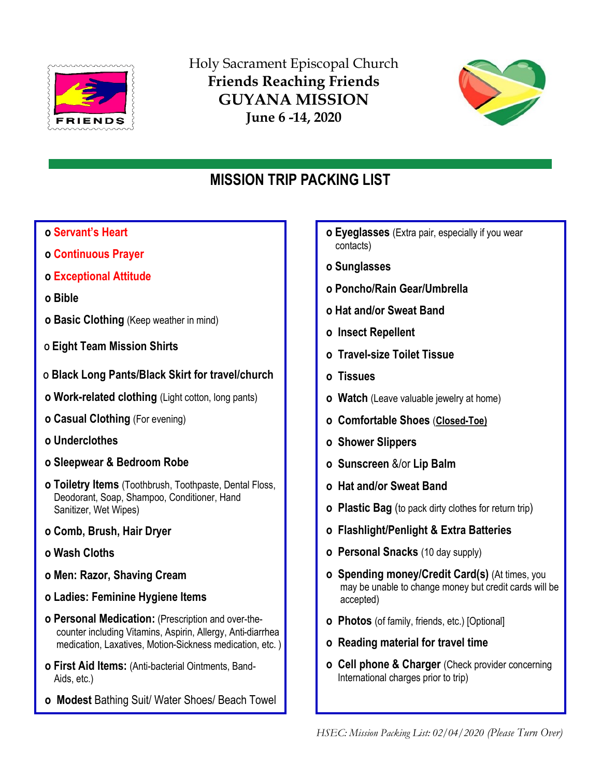

Holy Sacrament Episcopal Church Friends Reaching Friends GUYANA MISSION June 6 -14, 2020



# MISSION TRIP PACKING LIST

- o Servant's Heart
- o Continuous Prayer
- o Exceptional Attitude
- o Bible
- o Basic Clothing (Keep weather in mind)
- O Eight Team Mission Shirts
- O Black Long Pants/Black Skirt for travel/church
- o Work-related clothing (Light cotton, long pants)
- o Casual Clothing (For evening)
- o Underclothes
- o Sleepwear & Bedroom Robe
- o Toiletry Items (Toothbrush, Toothpaste, Dental Floss, Deodorant, Soap, Shampoo, Conditioner, Hand Sanitizer, Wet Wipes)
- o Comb, Brush, Hair Dryer
- o Wash Cloths
- o Men: Razor, Shaving Cream
- o Ladies: Feminine Hygiene Items
- o Personal Medication: (Prescription and over-the counter including Vitamins, Aspirin, Allergy, Anti-diarrhea medication, Laxatives, Motion-Sickness medication, etc. )
- o First Aid Items: (Anti-bacterial Ointments, Band- Aids, etc.)
- o Modest Bathing Suit/ Water Shoes/ Beach Towel
- o Eyeglasses (Extra pair, especially if you wear contacts)
- o Sunglasses
- o Poncho/Rain Gear/Umbrella
- o Hat and/or Sweat Band
- o Insect Repellent
- o Travel-size Toilet Tissue
- o Tissues
- **o** Watch (Leave valuable jewelry at home)
- o Comfortable Shoes (Closed-Toe)
- o Shower Slippers
- o Sunscreen &/or Lip Balm
- o Hat and/or Sweat Band
- o Plastic Bag (to pack dirty clothes for return trip)
- o Flashlight/Penlight & Extra Batteries
- o Personal Snacks (10 day supply)
- o Spending money/Credit Card(s) (At times, you may be unable to change money but credit cards will be accepted)
- o Photos (of family, friends, etc.) [Optional]
- o Reading material for travel time
- o Cell phone & Charger (Check provider concerning International charges prior to trip)